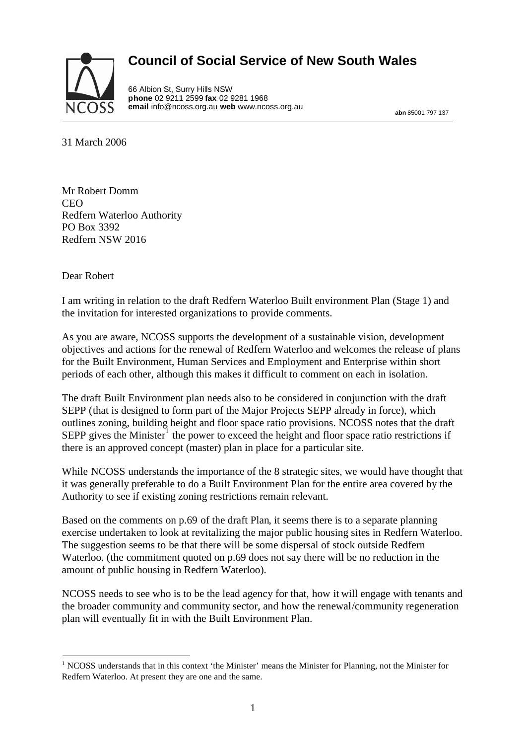# **Council of Social Service of New South Wales**



66 Albion St, Surry Hills NSW **phone** 02 9211 2599 **fax** 02 9281 1968 **email** info@ncoss.org.au **web** www.ncoss.org.au

**abn** 85001 797 137

31 March 2006

Mr Robert Domm CEO Redfern Waterloo Authority PO Box 3392 Redfern NSW 2016

Dear Robert

I am writing in relation to the draft Redfern Waterloo Built environment Plan (Stage 1) and the invitation for interested organizations to provide comments.

As you are aware, NCOSS supports the development of a sustainable vision, development objectives and actions for the renewal of Redfern Waterloo and welcomes the release of plans for the Built Environment, Human Services and Employment and Enterprise within short periods of each other, although this makes it difficult to comment on each in isolation.

The draft Built Environment plan needs also to be considered in conjunction with the draft SEPP (that is designed to form part of the Major Projects SEPP already in force), which outlines zoning, building height and floor space ratio provisions. NCOSS notes that the draft SEPP gives the Minister<sup>1</sup> the power to exceed the height and floor space ratio restrictions if there is an approved concept (master) plan in place for a particular site.

While NCOSS understands the importance of the 8 strategic sites, we would have thought that it was generally preferable to do a Built Environment Plan for the entire area covered by the Authority to see if existing zoning restrictions remain relevant.

Based on the comments on p.69 of the draft Plan, it seems there is to a separate planning exercise undertaken to look at revitalizing the major public housing sites in Redfern Waterloo. The suggestion seems to be that there will be some dispersal of stock outside Redfern Waterloo. (the commitment quoted on p.69 does not say there will be no reduction in the amount of public housing in Redfern Waterloo).

NCOSS needs to see who is to be the lead agency for that, how it will engage with tenants and the broader community and community sector, and how the renewal/community regeneration plan will eventually fit in with the Built Environment Plan.

<sup>&</sup>lt;sup>1</sup> NCOSS understands that in this context 'the Minister' means the Minister for Planning, not the Minister for Redfern Waterloo. At present they are one and the same.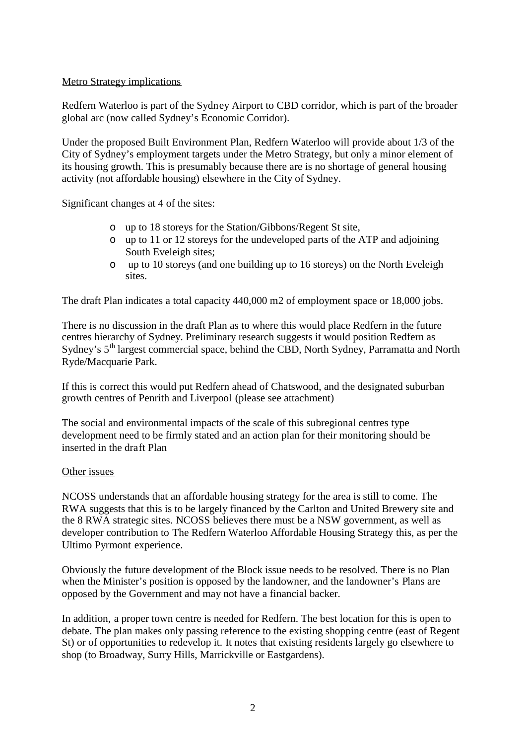### Metro Strategy implications

Redfern Waterloo is part of the Sydney Airport to CBD corridor, which is part of the broader global arc (now called Sydney's Economic Corridor).

Under the proposed Built Environment Plan, Redfern Waterloo will provide about 1/3 of the City of Sydney's employment targets under the Metro Strategy, but only a minor element of its housing growth. This is presumably because there are is no shortage of general housing activity (not affordable housing) elsewhere in the City of Sydney.

Significant changes at 4 of the sites:

- o up to 18 storeys for the Station/Gibbons/Regent St site,
- o up to 11 or 12 storeys for the undeveloped parts of the ATP and adjoining South Eveleigh sites;
- o up to 10 storeys (and one building up to 16 storeys) on the North Eveleigh sites.

The draft Plan indicates a total capacity 440,000 m2 of employment space or 18,000 jobs.

There is no discussion in the draft Plan as to where this would place Redfern in the future centres hierarchy of Sydney. Preliminary research suggests it would position Redfern as Sydney's 5<sup>th</sup> largest commercial space, behind the CBD, North Sydney, Parramatta and North Ryde/Macquarie Park.

If this is correct this would put Redfern ahead of Chatswood, and the designated suburban growth centres of Penrith and Liverpool (please see attachment)

The social and environmental impacts of the scale of this subregional centres type development need to be firmly stated and an action plan for their monitoring should be inserted in the draft Plan

### Other issues

NCOSS understands that an affordable housing strategy for the area is still to come. The RWA suggests that this is to be largely financed by the Carlton and United Brewery site and the 8 RWA strategic sites. NCOSS believes there must be a NSW government, as well as developer contribution to The Redfern Waterloo Affordable Housing Strategy this, as per the Ultimo Pyrmont experience.

Obviously the future development of the Block issue needs to be resolved. There is no Plan when the Minister's position is opposed by the landowner, and the landowner's Plans are opposed by the Government and may not have a financial backer.

In addition, a proper town centre is needed for Redfern. The best location for this is open to debate. The plan makes only passing reference to the existing shopping centre (east of Regent St) or of opportunities to redevelop it. It notes that existing residents largely go elsewhere to shop (to Broadway, Surry Hills, Marrickville or Eastgardens).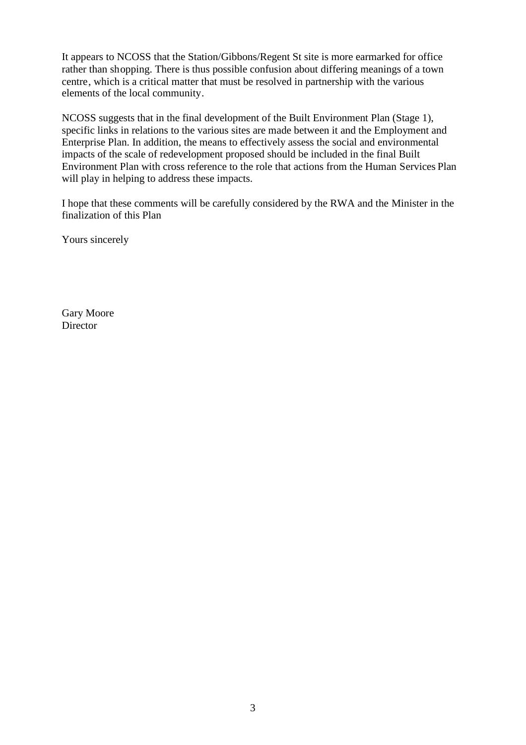It appears to NCOSS that the Station/Gibbons/Regent St site is more earmarked for office rather than shopping. There is thus possible confusion about differing meanings of a town centre, which is a critical matter that must be resolved in partnership with the various elements of the local community.

NCOSS suggests that in the final development of the Built Environment Plan (Stage 1), specific links in relations to the various sites are made between it and the Employment and Enterprise Plan. In addition, the means to effectively assess the social and environmental impacts of the scale of redevelopment proposed should be included in the final Built Environment Plan with cross reference to the role that actions from the Human Services Plan will play in helping to address these impacts.

I hope that these comments will be carefully considered by the RWA and the Minister in the finalization of this Plan

Yours sincerely

Gary Moore **Director**